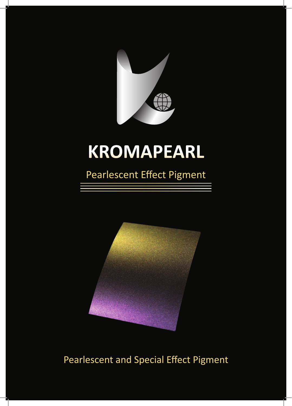

# **KROMAPEARL**

# Pearlescent Effect Pigment



# Pearlescent and Special Effect Pigment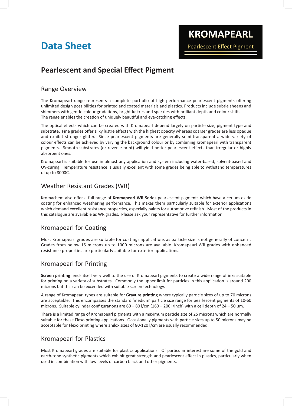## **Data Sheet**

### **Pearlescent and Special Effect Pigment**

#### Range Overview

The Kromapearl range represents a complete portfolio of high performance pearlescent pigments offering unlimited design possibilities for printed and coated materials and plastics. Products include subtle sheens and shimmers with gentle colour gradations, bright lustres and sparkles with brilliant depth and colour shift. The range enables the creation of uniquely beautiful and eye-catching effects.

The optical effects which can be created with Kromapearl depend largely on particle size, pigment type and substrate. Fine grades offer silky lustre effects with the highest opacity whereas coarser grades are less opaque and exhibit stronger glitter. Since pearlescent pigments are generally semi-transparent a wide variety of colour effects can be achieved by varying the background colour or by combining Kromapearl with transparent pigments. Smooth substrates (or reverse print) will yield better pearlescent effects than irregular or highly absorbent ones.

Kromapearl is suitable for use in almost any application and system including water-based, solvent-based and UV-curing. Temperature resistance is usually excellent with some grades being able to withstand temperatures of up to 8000C.

#### Weather Resistant Grades (WR)

Kromachem also offer a full range of **Kromapearl WR Series** pearlescent pigments which have a cerium oxide coating for enhanced weathering performance. This makes them particularly suitable for exterior applications which demand excellent resistance properties, especially paints for automotive refinish. Most of the products in this catalogue are available as WR grades. Please ask your representative for further information.

#### Kromapearl for Coating

Most Kromapearl grades are suitable for coatings applications as particle size is not generally of concern. Grades from below 15 microns up to 1000 microns are available. Kromapearl WR grades with enhanced resistance properties are particularly suitable for exterior applications.

#### Kromapearl for Printing

**Screen printing** lends itself very well to the use of Kromapearl pigments to create a wide range of inks suitable for printing on a variety of substrates. Commonly the upper limit for particles in this application is around 200 microns but this can be exceeded with suitable screen technology.

A range of Kromapearl types are suitable for **Gravure printing** where typically particle sizes of up to 70 microns are acceptable. This encompasses the standard 'medium' particle size range for pearlescent pigments of 10-60 microns. Suitable cylinder configurations are 60 – 80 l/cm (160 – 200 l/inch) with a cell depth of 24 – 50 μm.

There is a limited range of Kromapearl pigments with a maximum particle size of 25 microns which are normally suitable for these Flexo printing applications. Occasionally pigments with particle sizes up to 50 microns may be acceptable for Flexo printing where anilox sizes of 80-120 l/cm are usually recommended.

#### Kromapearl for Plastics

Most Kromapearl grades are suitable for plastics applications. Of particular interest are some of the gold and earth-tone synthetic pigments which exhibit great strength and pearlescent effect in plastics, particularly when used in combination with low levels of carbon black and other pigments.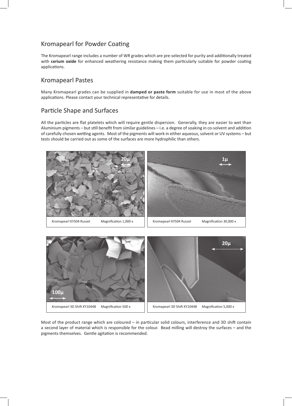#### Kromapearl for Powder Coating

The Kromapearl range includes a number of WR grades which are pre-selected for purity and additionally treated with **cerium oxide** for enhanced weathering resistance making them particularly suitable for powder coating applications.

#### Kromapearl Pastes

Many Kromapearl grades can be supplied in **damped or paste form** suitable for use in most of the above applications. Please contact your technical representative for details.

#### Particle Shape and Surfaces

All the particles are flat platelets which will require gentle dispersion. Generally, they are easier to wet than Aluminium pigments – but still benefit from similar guidelines – i.e. a degree of soaking in co-solvent and addition of carefully chosen wetting agents. Most of the pigments will work in either aqueous, solvent or UV systems – but tests should be carried out as some of the surfaces are more hydrophilic than others.





Most of the product range which are coloured – in particular solid colours, interference and 3D shift contain a second layer of material which is responsible for the colour. Bead milling will destroy the surfaces – and the pigments themselves. Gentle agitation is recommended.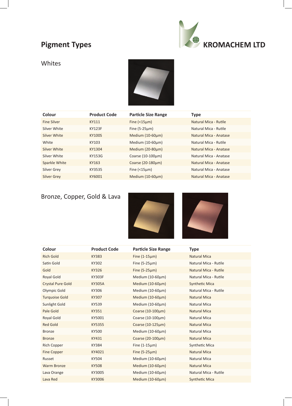### **Pigment Types**



#### Whites



| Colour             | <b>Product Code</b> | <b>Particle Size Range</b> | <b>Type</b>            |
|--------------------|---------------------|----------------------------|------------------------|
| <b>Fine Silver</b> | KY111               | Fine $($ < 15 $\mu$ m $)$  | Natural Mica - Rutile  |
| Silver White       | <b>KY123F</b>       | Fine $(5-25\mu m)$         | Natural Mica - Rutile  |
| Silver White       | <b>KY100S</b>       | Medium $(10-60\mu m)$      | Natural Mica - Anatase |
| White              | KY103               | Medium $(10-60 \mu m)$     | Natural Mica - Rutile  |
| Silver White       | KY1304              | Medium (20-80um)           | Natural Mica - Anatase |
| Silver White       | <b>KY153G</b>       | Coarse $(10-100 \mu m)$    | Natural Mica - Anatase |
| Sparkle White      | KY163               | Coarse $(20-180 \mu m)$    | Natural Mica - Anatase |
| <b>Silver Grey</b> | KY3535              | Fine $($ < 15 $\mu$ m $)$  | Natural Mica - Anatase |
| <b>Silver Grey</b> | KY6001              | Medium $(10-60 \mu m)$     | Natural Mica - Anatase |

### Bronze, Copper, Gold & Lava





| Colour                   | <b>Product Code</b> | <b>Particle Size Range</b> | <b>Type</b>           |
|--------------------------|---------------------|----------------------------|-----------------------|
| <b>Rich Gold</b>         | <b>KY383</b>        | Fine $(1-15\mu m)$         | <b>Natural Mica</b>   |
| Satin Gold               | KY302               | Fine $(5-25\mu m)$         | Natural Mica - Rutile |
| Gold                     | KY326               | Fine $(5-25\mu m)$         | Natural Mica - Rutile |
| Royal Gold               | <b>KY303F</b>       | Medium (10-60µm)           | Natural Mica - Rutile |
| <b>Crystal Pure Gold</b> | <b>KY305A</b>       | Medium $(10-60\mu m)$      | <b>Synthetic Mica</b> |
| Olympic Gold             | KY306               | Medium $(10-60\mu m)$      | Natural Mica - Rutile |
| <b>Turquoise Gold</b>    | KY307               | Medium $(10-60\mu m)$      | <b>Natural Mica</b>   |
| Sunlight Gold            | KY539               | Medium (10-60µm)           | <b>Natural Mica</b>   |
| Pale Gold                | <b>KY351</b>        | Coarse $(10-100 \mu m)$    | <b>Natural Mica</b>   |
| Royal Gold               | KY5001              | Coarse $(10-100 \mu m)$    | <b>Natural Mica</b>   |
| <b>Red Gold</b>          | KY5355              | Coarse (10-125µm)          | <b>Natural Mica</b>   |
| <b>Bronze</b>            | <b>KY500</b>        | Medium $(10-60\mu m)$      | <b>Natural Mica</b>   |
| <b>Bronze</b>            | KY431               | Coarse (20-100µm)          | <b>Natural Mica</b>   |
| Rich Copper              | KY384               | Fine $(1-15\mu m)$         | Synthetic Mica        |
| Fine Copper              | KY4021              | Fine $(5-25\mu m)$         | <b>Natural Mica</b>   |
| Russet                   | KY504               | Medium $(10-60\mu m)$      | <b>Natural Mica</b>   |
| <b>Warm Bronze</b>       | <b>KY508</b>        | Medium (10-60μm)           | <b>Natural Mica</b>   |
| Lava Orange              | KY3005              | Medium (10-60µm)           | Natural Mica - Rutile |
| Lava Red                 | KY3006              | Medium (10-60µm)           | <b>Synthetic Mica</b> |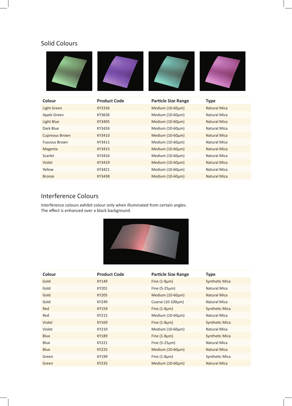#### Solid Colours

| Colour                | <b>Product Code</b> | <b>Particle Size Range</b> | <b>Type</b>         |
|-----------------------|---------------------|----------------------------|---------------------|
| Light Green           | KY3336              | Medium (10-60µm)           | <b>Natural Mica</b> |
| Apple Green           | KY3636              | Medium (10-60µm)           | <b>Natural Mica</b> |
| <b>Light Blue</b>     | KY3405              | Medium (10-60µm)           | <b>Natural Mica</b> |
| Dark Blue             | KY3426              | Medium (10-60µm)           | <b>Natural Mica</b> |
| <b>Cupreous Brown</b> | KY3410              | Medium (10-60µm)           | <b>Natural Mica</b> |
| <b>Fuscous Brown</b>  | KY3411              | Medium (10-60µm)           | <b>Natural Mica</b> |
| Magenta               | KY3415              | Medium $(10-60\mu m)$      | <b>Natural Mica</b> |
| Scarlet               | KY3416              | Medium (10-60µm)           | <b>Natural Mica</b> |
| Violet                | KY3419              | Medium (10-60µm)           | <b>Natural Mica</b> |
| Yellow                | KY3421              | Medium (10-60µm)           | <b>Natural Mica</b> |
| <b>Bronze</b>         | KY3438              | Medium (10-60μm)           | <b>Natural Mica</b> |

#### Interference Colours

Interference colours exhibit colour only when illuminated from certain angles. The effect is enhanced over a black background.



| Colour      | <b>Product Code</b> | <b>Particle Size Range</b> | <b>Type</b>           |
|-------------|---------------------|----------------------------|-----------------------|
| Gold        | KY149               | Fine $(1-8\mu m)$          | <b>Synthetic Mica</b> |
| Gold        | KY201               | Fine $(5-25\mu m)$         | Natural Mica          |
| Gold        | KY205               | Medium $(10-60\mu m)$      | Natural Mica          |
| Gold        | KY249               | Coarse $(10-100\mu m)$     | Natural Mica          |
| Red         | KY159               | Fine $(1-8\mu m)$          | <b>Synthetic Mica</b> |
| Red         | KY215               | Medium $(10-60\mu m)$      | Natural Mica          |
| Violet      | KY169               | Fine $(1-8\mu m)$          | <b>Synthetic Mica</b> |
| Violet      | KY219               | Medium $(10-60\mu m)$      | Natural Mica          |
| <b>Blue</b> | <b>KY189</b>        | Fine $(1-8\mu m)$          | <b>Synthetic Mica</b> |
| Blue        | KY221               | Fine $(5-25\mu m)$         | Natural Mica          |
| <b>Blue</b> | KY225               | Medium $(10-60\mu m)$      | Natural Mica          |
| Green       | KY199               | Fine $(1-8\mu m)$          | Synthetic Mica        |
| Green       | <b>KY235</b>        | Medium $(10-60\mu m)$      | <b>Natural Mica</b>   |